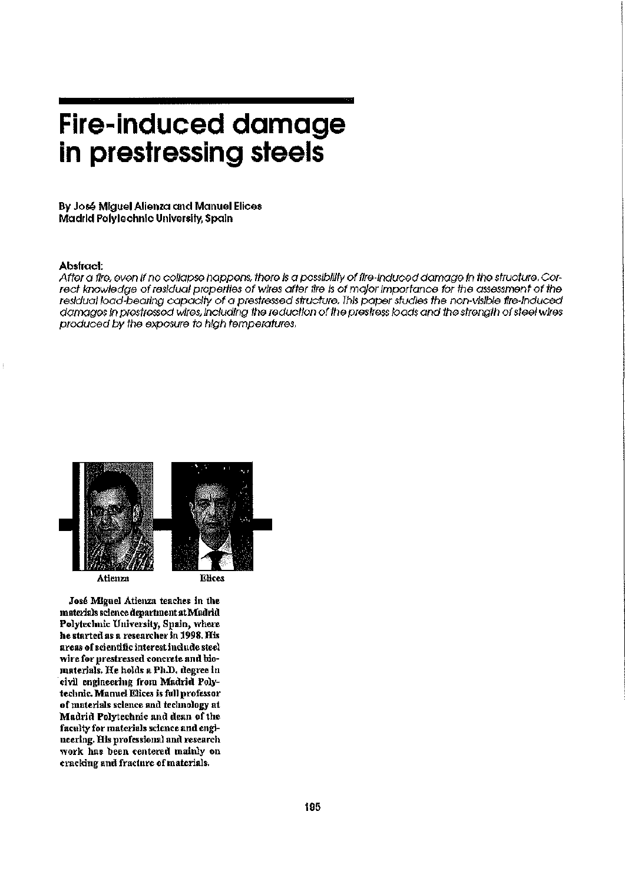# **Fire-induced damage in prestressing steels**

**By José Miguel Atienza and Manuel Elices Madrid Polytechnic University, Spain** 

#### **Abslracl:**

After a fire, even If no collapse happens, there Is a possibility of fire-Induced damage in the structure. Correct knowledge of residual properties of wires after fire Is of major importance for the assessment of the residual load-bearing capacity of a presfressed structure. This paper studies the non-vlslble fire-Induced damages In presfressed wires, Including the reduction of the prestress bads and the strength of steel wires produced by the exposure to high temperatures.



José Miguel Atienza teaches in the materials science department at Madrid Polytechnic University, Spain, where he started as a researcher in 1998. His areas of scientific interest include steel wire for prestressed concrete and biomaterials. He holds a Ph.D. degree in civil engineering from Madrid Polytechnic. Manuel Elices is full professor of materials science and technology at Madrid Polytechnic and dean of the faculty for materials science and engineering. His professional and research work has been centered mainly on cracking and fracture of materials.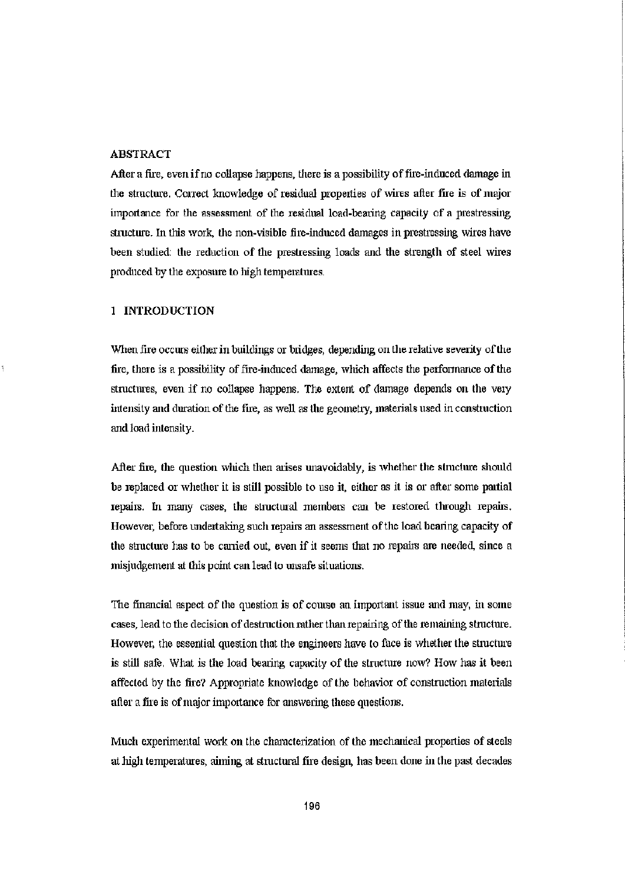# ABSTRACT

After a fire, even if no collapse happens, there is a possibility of fire-induced damage in the structure. Correct knowledge of residual properties of wires after fire is of major importance for the assessment of the residual load-bearing capacity of a prestressing structure. In tliis work, the non-visible fire-induced damages in prestressing wires have been studied: the reduction of the prestressing loads and the strength of steel wires produced by the exposure to high temperatures.

# 1 INTRODUCTION

When fire occurs either in buildings or bridges, depending on the relative severity of the fire, there is a possibility of fire-induced damage, which affects the performance of the structures, even if no collapse happens. The extent of damage depends on the veiy intensity and duration of the fire, as well as the geometry, materials used in construction and load intensity.

After fire, the question which then arises unavoidably, is whether the structure should be replaced or whether it is still possible to use it, either as it is or after some partial repairs, hi many cases, the structural members can be restored through repairs. However, before undertaking such repairs an assessment of the load beaiing capacity of the structure has to be carried out, even if it seems that no repairs are needed, since a misjudgement at this point can lead to unsafe situations.

The financial aspect of the question is of course an important issue and may, in some cases, lead to the decision of destruction rather than repairing of the remaining structure. However, the essential question that the engineers have to face is whether the structure is still safe. What is the load bearing capacity of the structure now? How has it been affected by the fire? Appropriate knowledge of the behavior of construction materials after a fire is of major importance for answering these questions.

Much experimental work on the characterization of the mechanical properties of steels at high temperatures, aiming at structural fire design, has been done in the past decades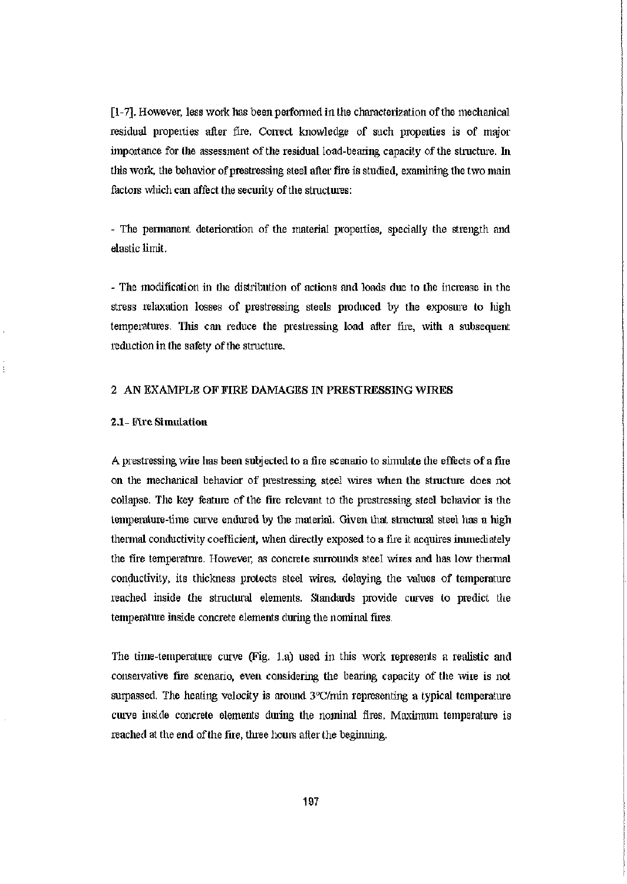[1-7]. However, less work has been performed in the characterization of the mechanical residual properties after fire. Conect knowledge of such properties is of major importance for the assessment of the residual load-bearing capacity of the structure. In this work, the behavior of prestressing steel after fire is studied, examining the two main factors which can affect the security of the structures:

- The permanent deterioration of the material properties, specially the strength and elastic limit.

- The modification in the distribution of actions and loads due to the increase hi the stress relaxation losses of prestressing steels produced by the exposure to high temperatures. Tlris can reduce the prestressing load after fire, with a subsequent reduction in the safety of the structure.

#### 2 AN EXAMPLE OF FIRE DAMAGES IN PRESTRESSING WIRES

### 2.1- Fire Simulation

ţ

A prestressing wire has been subjected to afire scenario to simulate the effects of afire on the mechanical behavior of prestressing steel wires when the structure does not collapse. The key feature of the fire relevant to the prestressing steel behavior is the temperature-time curve endured by the material. Given that structural steel has a high thermal conductivity coefficient, when directly exposed to a fire it acquires immediately the the temperature. However, as concrete surrounds steel wires and has low thermal conductivity, its thickness protects steel wires, delaying the values of temperature reached inside the structural elements. Standards provide curves to predict the temperature inside concrete elements during the nominal fires.

The time-temperature curve (Fig. La) used in this work represents a realistic and conservative fire scenario, even considering the bearing capacity of the wire is not surpassed. The heating velocity is around 3°C/min representing a typical temperature curve inside concrete elements during the nominal fires. Maximum temperature is reached at the end of the fire, three hours after the beginning.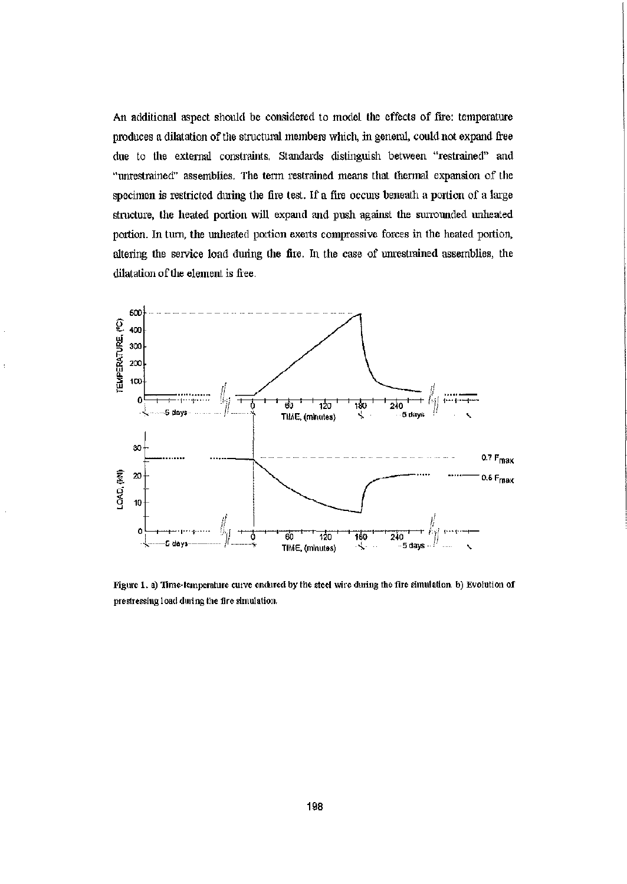An additional aspect should be considered to model the effects of fire: temperature produces a dilatation of the structural members which, in general, could not expand free due to the external constraints. Standards distinguish between "restrained" and "unrestrained" assemblies. The term restrained means that thermal expansion of the specimen is restricted during the fire test. If a fire occurs beneath a portion of a large structure, the heated portion will expand and push against the surrounded unhealed portion. In turn, the unheated portion exerts compressive forces in the heated portion, altering the service load during the fire. In the case of unrestrained assemblies, the dilatation of the element is free.



Figure 1. a) Time-temperature curve endured by the steel wire during the fire simulation, b) Evolution of prestressing load dining the fire simulation.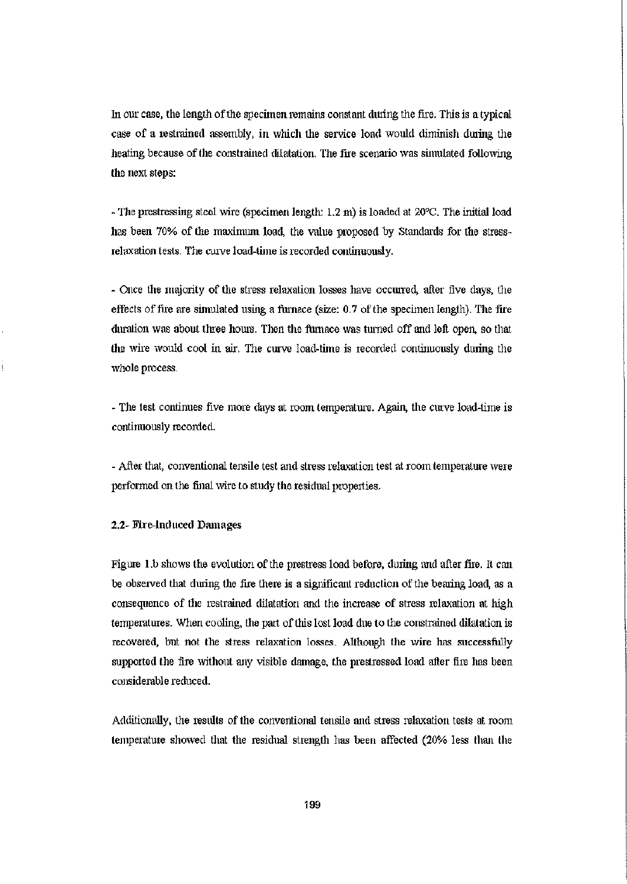In our case, the length of the specimen remains constant during the fire. This is a typical case of a restrained assembly, in which the service load would diminish during the heating because of the constrained dilatation. The fire scenario was simulated following the next steps:

- The prestressing steel wire (specimen length: 1.2 m) is loaded at 20°C. The initial load has been 70% of the maximum load, the value proposed by Standards for the stressrelaxation tests. The curve load-time is recorded continuously.

- Once the majority of the stress relaxation losses have occurred, after five days, the effects of file are simulated using a furnace (size: 0.7 of the specimen length). The fire duration was about three hours. Then the furnace was turned off and left open so that the wire would cool in air. The curve load-time is recorded continuously dining the whole process.

- The test continues five more clays at room temperature. Again, the curve load-time is continuously recorded.

- After that, conventional tensile test and stress relaxation test at room temperature were performed on the final wire to study the residual properties.

#### 2.2- Fire-induced Damages

Figure l.b shows the evolution of the prestiess load before, dining and after fire. It can be observed that during the fire there is a significant reduction of the bearing load, as a consequence of the restrained dilatation and the increase of stress relaxation at high temperatures. When cooling, the part of this lost load due to the constrained dilatation is recovered, but not the stress relaxation losses. Although the wire has successfully supported the fire without any visible damage, the prestressed load after fire has been considerable reduced.

Additionally, the results of the conventional tensile and stress relaxation tests at room temperature showed that the residual strength has been affected (20% less than the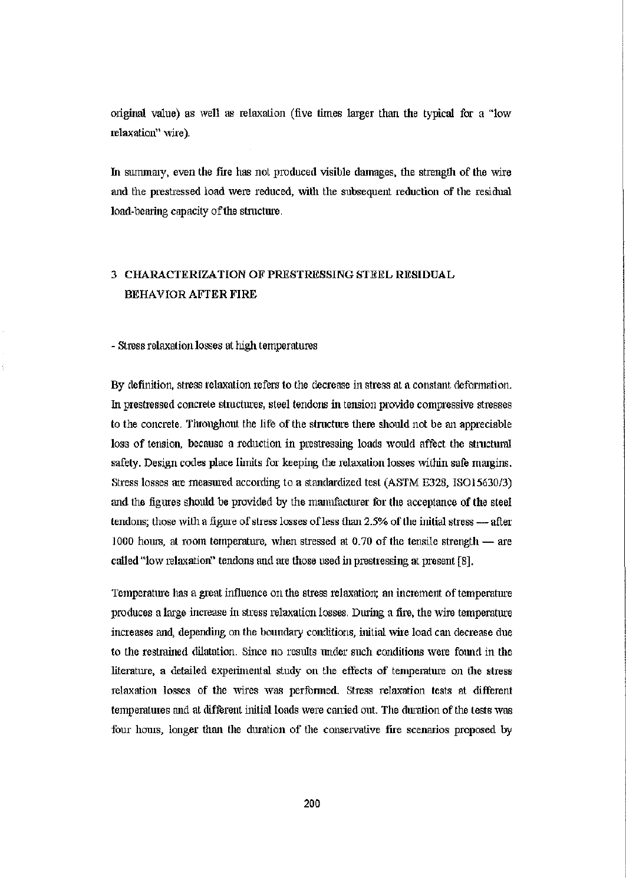original value) as well as relaxation (five times larger than the typical for a "low relaxation" wire).

In summary, even the fire has not produced visible damages, the strength of the wire and the prestressed load were reduced, with the subsequent reduction of the residual load-bearing capacity of the structure.

# 3 CHARACTERIZATION OF PRESTRESSING STEEL RESIDUAL BEHAVIOR AFTER FIRE

#### - Stress relaxation losses at high temperatures

By definition, stress relaxation refers to the decrease in stress at a constant deformation. hi prestiessed concrete structures, steel tendons hi tension provide compressive stresses to the concrete. Throughout the life of the structure there should not be an appreciable loss of tension, because a reduction in prestressing loads would affect the structural safety. Design codes place limits for keeping the relaxation losses within safe margins. Stress losses are measured according to a standardized test (ASTM E328, ISO15630/3) and the figures should be provided by the manufacturer for the acceptance of the steel tendons; those with a figure of stress losses of less than 2.5% of the initial stress — after 1000 hours, at room temperature, when stressed at 0.70 of the tensile strength — are called "low relaxation" tendons and are those used in prestressing at present [8].

Temperature has a great influence on the stress relaxation; an increment of temperature produces a large increase in stress relaxation losses. During a fire, the wire temperature increases and, depending on the boundary conditions, initial wire load can decrease due to the restrained dilatation. Since no results under such conditions were found in the literature, a detailed experimental study on the effects of temperature on the stress relaxation losses of the wires was perfonned. Stress relaxation tests at different temperatures and at different initial loads were carried out. The duration of the tests was four hours, longer than tlie duration of the conservative fire scenarios proposed by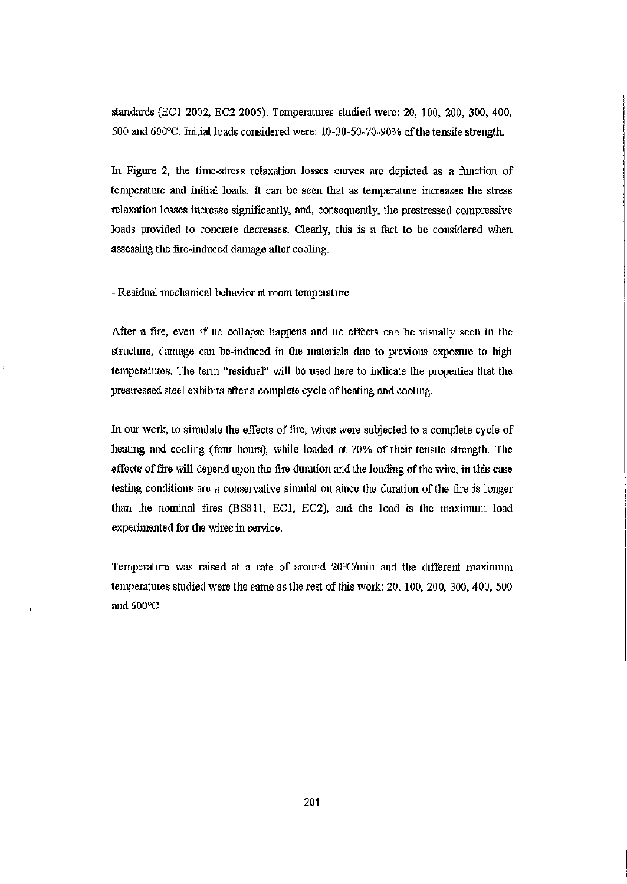standards (ECl 2002, EC2 2005). Temperatures studied were: 20, 100, 200, 300, 400, 500 and 600°C. Initial loads considered were: 10-30-50-70-90% of the tensile strength.

In Figure 2, the time-stress relaxation losses curves are depicted as a function of temperature and initial loads. It can be seen that as temperature increases the stress relaxation losses increase significantly, and, consequently, the prestressed compressive loads provided to concrete decreases. Clearly, this is a fact to be considered when assessing the fire-induced damage after cooling.

- Residual mechanical behavior at room temperature

After a fire, even if no collapse happens and no effects can be visually seen in the structure, damage can be-induced in the materials due to previous exposure to high temperatures. The term "residual" will be used here to indicate the properties that the prestressed steel exhibits after a complete cycle of heating and cooling.

In our work, to simulate the effects of fire, wires were subjected to a complete cycle of heating and cooling (four hours), while loaded at 70% of their tensile strength. The effects of fire will depend upon the fire duration and the loading of the wire, in this case testing conditions are a conservative simulation since the duration of the fire is longer than the nominal fires (BS811, ECl, EC2), and the load is the maximum load experimented for the wires in service.

Temperature was raised at a rate of around 20°C/min and the different maximum temperatures studied were the same as the rest of this work: 20,100, 200, 300,400, 500 and 600°C.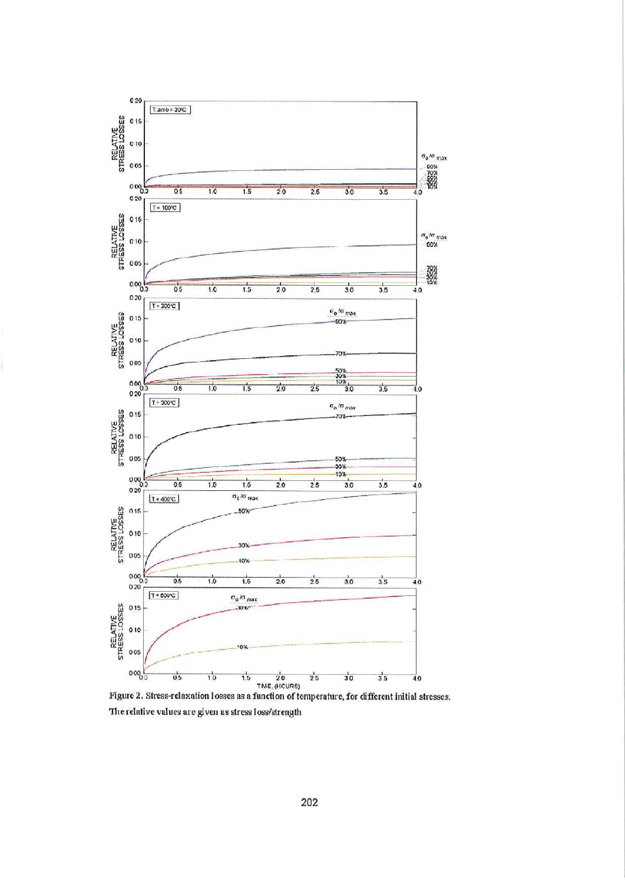

Figure 2. Stress-relaxation losses as a function of temperature, for different initial stresses. The relative values are given as stress loss/strength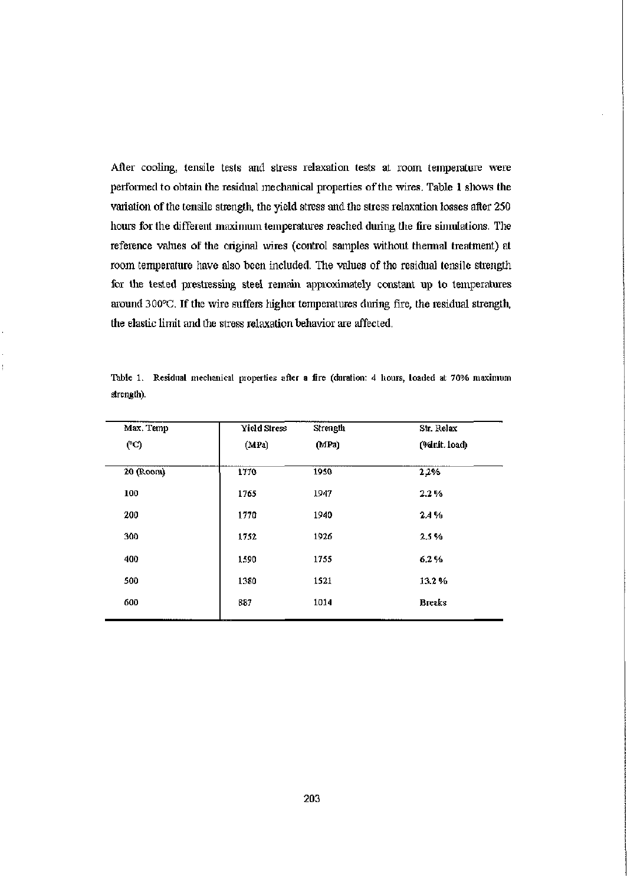After cooling, tensile tests and stress relaxation tests at room temperature were performed to obtain the residual mechanical properties of the wires. Table 1 shows the variation of the tensile strength, the yield stress and the stress relaxation losses after 250 hours for the different maximum temperatures reached during the fire simulations. The reference values of the original wires (control samples without thermal treatment) at room temperature have also been included. The values of the residual tensile strength for the tested prestressing steel remain approximately constant up to temperatures around 300°C. If the wire suffers higher temperatures during fire, the residual strength, the elastic limit and the stress relaxation behavior are affected.

| Max. Temp | Yield Stress | Strength | Str. Relax    |
|-----------|--------------|----------|---------------|
| (°C)      | (MPa)        | (MPa)    | (%init. load) |
| 20 (Room) | 1770         | 1950     | 2,2%          |
| 100       | 1765         | 1947     | 2.2%          |
| 200       | 1770         | 1940     | 2.4%          |
| 300       | 1752         | 1926     | 2.5%          |
| 400       | 1590         | 1755     | 6.2%          |
| 500       | 1380         | 1521     | 13.2%         |
| 600       | 887          | 1014     | <b>Breaks</b> |

Table 1. Residual mechanical properties after a fire (duration: 4 hours, loaded at 70% maximum strength).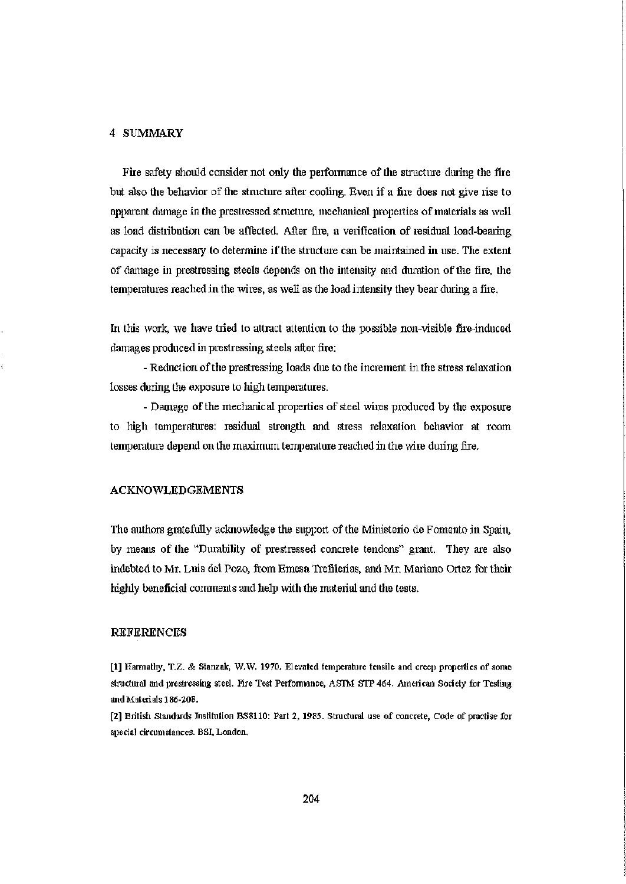#### 4 SUMMARY

Fire safety should consider not only the performance of the structure during the fire but also the behavior of the structure after cooling. Even if a fire does not give rise to apparent damage in the prestressed structure, mechanical properties of materials as well as load distribution can be affected. After fire, a verification of residual load-beating capacity is necessary to determine if the structure can be maintained in use. The extent of damage in prestressing steels depends on the intensity and duration of the fire, the temperatures reached in the wires, as well as the load intensity they bear during a fire.

hi this work, we have tried to attract attention to the possible non-visible fire-induced damages produced in prestressing steels after fire:

- Reduction of the prestressing loads due to the increment in tlie stress relaxation losses during the exposure to high temperatures.

- Damage of the mechanical properties of steel wires produced by the exposure to high temperatures: residual strength and stress relaxation behavior at room temperature depend on the maximum temperature reached in the wire during fire.

#### ACKNOWLEDGEMENTS

The authors gratefully acknowledge the support of the Ministerio de Fomento in Spain, by means of the "Durability of prestressed concrete tendons" grant. They are also indebted to Mr. Luis del Pozo, from Emesa Trefilerías, and Mr. Mariano Qrtez for their highly beneficial comments and help with the material and the tests.

#### REFERENCES

[1] Harmathy, T.Z. & Stanzak, W.W. 1970. Elevated temperature tensile and creep properties of some structural and prestressing steel. Fire Test Performance, ASTM STP 464. American Society for Testing and Materials 186-208.

[2] British Standards Institution BS8110: Part 2, 1985. Structural use of concrete, Code of practise for special circumstances. BSI, London.